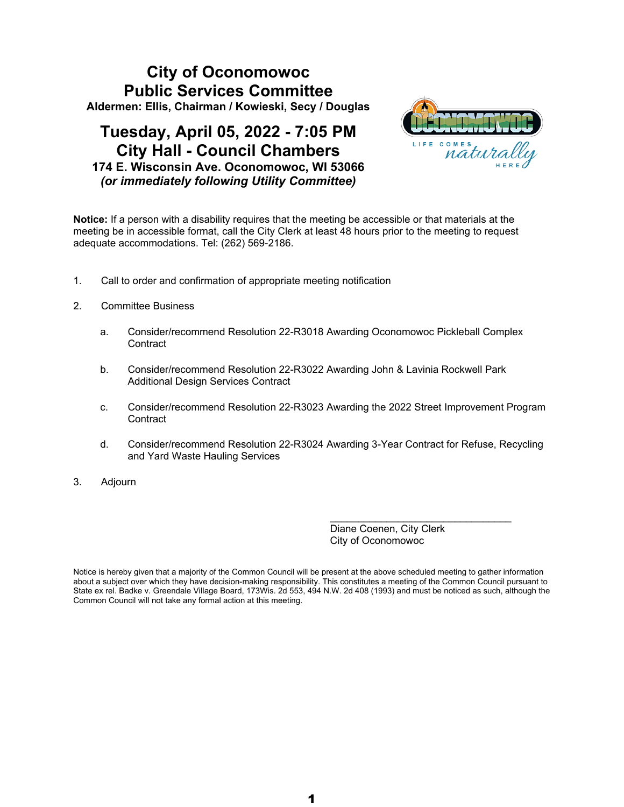## **City of Oconomowoc Public Services Committee Aldermen: Ellis, Chairman / Kowieski, Secy / Douglas**

## **Tuesday, April 05, 2022 - 7:05 PM City Hall - Council Chambers 174 E. Wisconsin Ave. Oconomowoc, WI 53066** *(or immediately following Utility Committee)*



**Notice:** If a person with a disability requires that the meeting be accessible or that materials at the meeting be in accessible format, call the City Clerk at least 48 hours prior to the meeting to request adequate accommodations. Tel: (262) 569-2186.

- 1. Call to order and confirmation of appropriate meeting notification
- 2. Committee Business
	- a. Consider/recommend Resolution 22-R3018 Awarding Oconomowoc Pickleball Complex **Contract**
	- b. Consider/recommend Resolution 22-R3022 Awarding John & Lavinia Rockwell Park Additional Design Services Contract
	- c. Consider/recommend Resolution 22-R3023 Awarding the 2022 Street Improvement Program **Contract**
	- d. Consider/recommend Resolution 22-R3024 Awarding 3-Year Contract for Refuse, Recycling and Yard Waste Hauling Services
- 3. Adjourn

Diane Coenen, City Clerk City of Oconomowoc

 $\mathcal{L}_\text{max}$  , and the set of the set of the set of the set of the set of the set of the set of the set of the set of the set of the set of the set of the set of the set of the set of the set of the set of the set of the

Notice is hereby given that a majority of the Common Council will be present at the above scheduled meeting to gather information about a subject over which they have decision-making responsibility. This constitutes a meeting of the Common Council pursuant to State ex rel. Badke v. Greendale Village Board, 173Wis. 2d 553, 494 N.W. 2d 408 (1993) and must be noticed as such, although the Common Council will not take any formal action at this meeting.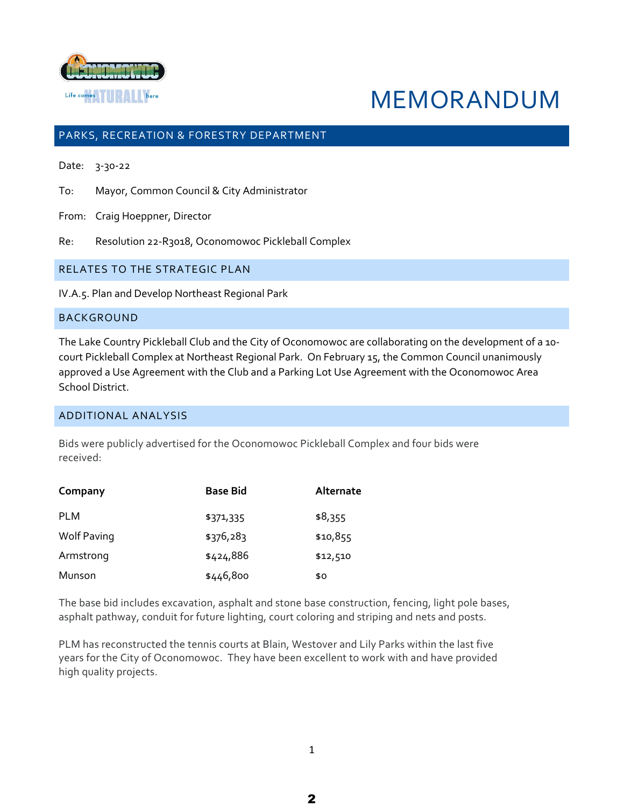

# MEMORANDUM

## PARKS, RECREATION & FORESTRY DEPARTMENT

Date: 3-30-22

To: Mayor, Common Council & City Administrator

From: Craig Hoeppner, Director

Re: Resolution 22-R3018, Oconomowoc Pickleball Complex

RELATES TO THE STRATEGIC PLAN

IV.A.5. Plan and Develop Northeast Regional Park

#### BACKGROUND

The Lake Country Pickleball Club and the City of Oconomowoc are collaborating on the development of a 10 court Pickleball Complex at Northeast Regional Park. On February 15, the Common Council unanimously approved a Use Agreement with the Club and a Parking Lot Use Agreement with the Oconomowoc Area School District.

#### ADDITIONAL ANALYSIS

Bids were publicly advertised for the Oconomowoc Pickleball Complex and four bids were received:

| Company            | <b>Base Bid</b> | Alternate |
|--------------------|-----------------|-----------|
| <b>PLM</b>         | \$371,335       | \$8,355   |
| <b>Wolf Paving</b> | \$376,283       | \$10,855  |
| Armstrong          | \$424,886       | \$12,510  |
| Munson             | \$446,800       | \$0       |

The base bid includes excavation, asphalt and stone base construction, fencing, light pole bases, asphalt pathway, conduit for future lighting, court coloring and striping and nets and posts.

PLM has reconstructed the tennis courts at Blain, Westover and Lily Parks within the last five years for the City of Oconomowoc. They have been excellent to work with and have provided high quality projects.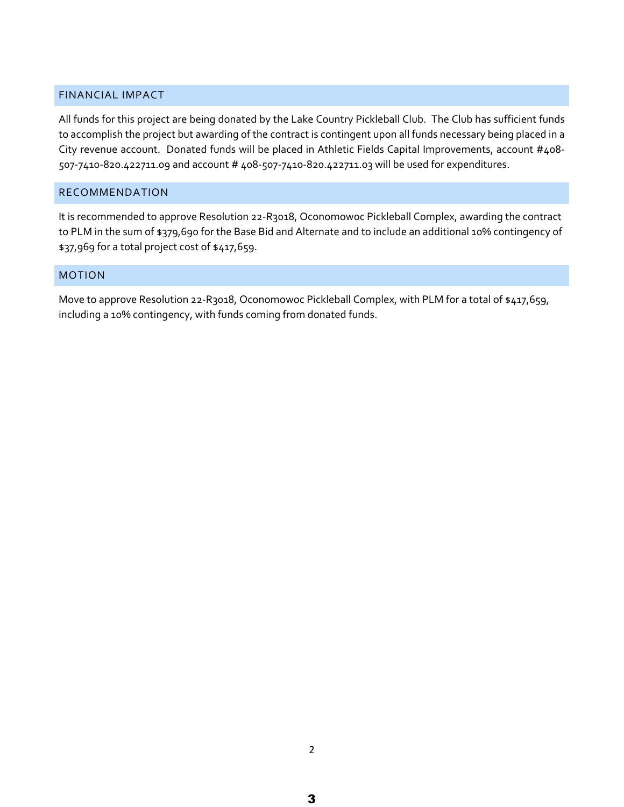## FINANCIAL IMPACT

All funds for this project are being donated by the Lake Country Pickleball Club. The Club has sufficient funds to accomplish the project but awarding of the contract is contingent upon all funds necessary being placed in a City revenue account. Donated funds will be placed in Athletic Fields Capital Improvements, account #408- 507-7410-820.422711.09 and account # 408-507-7410-820.422711.03 will be used for expenditures.

## RECOMMENDATION

It is recommended to approve Resolution 22-R3018, Oconomowoc Pickleball Complex, awarding the contract to PLM in the sum of \$379,690 for the Base Bid and Alternate and to include an additional 10% contingency of \$37,969 for a total project cost of \$417,659.

## MOTION

Move to approve Resolution 22-R3018, Oconomowoc Pickleball Complex, with PLM for a total of \$417,659, including a 10% contingency, with funds coming from donated funds.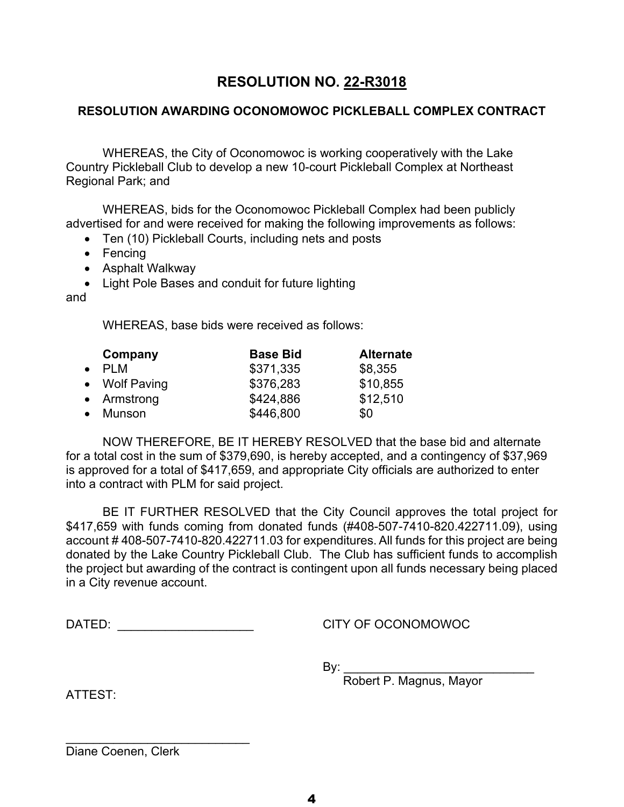## **RESOLUTION AWARDING OCONOMOWOC PICKLEBALL COMPLEX CONTRACT**

WHEREAS, the City of Oconomowoc is working cooperatively with the Lake Country Pickleball Club to develop a new 10-court Pickleball Complex at Northeast Regional Park; and

WHEREAS, bids for the Oconomowoc Pickleball Complex had been publicly advertised for and were received for making the following improvements as follows:

- Ten (10) Pickleball Courts, including nets and posts
- Fencing
- Asphalt Walkway
- Light Pole Bases and conduit for future lighting

and

WHEREAS, base bids were received as follows:

|           | Company       | <b>Base Bid</b> | <b>Alternate</b> |
|-----------|---------------|-----------------|------------------|
| $\bullet$ | PLM           | \$371,335       | \$8,355          |
|           | • Wolf Paving | \$376,283       | \$10,855         |
|           | • Armstrong   | \$424,886       | \$12,510         |
|           | • Munson      | \$446,800       | \$0              |

NOW THEREFORE, BE IT HEREBY RESOLVED that the base bid and alternate for a total cost in the sum of \$379,690, is hereby accepted, and a contingency of \$37,969 is approved for a total of \$417,659, and appropriate City officials are authorized to enter into a contract with PLM for said project.

BE IT FURTHER RESOLVED that the City Council approves the total project for \$417,659 with funds coming from donated funds (#408-507-7410-820.422711.09), using account # 408-507-7410-820.422711.03 for expenditures. All funds for this project are being donated by the Lake Country Pickleball Club. The Club has sufficient funds to accomplish the project but awarding of the contract is contingent upon all funds necessary being placed in a City revenue account.

DATED: \_\_\_\_\_\_\_\_\_\_\_\_\_\_\_\_\_\_\_\_\_\_\_\_\_\_\_\_\_\_\_\_\_\_\_CITY OF OCONOMOWOC

\_\_\_\_\_\_\_\_\_\_\_\_\_\_\_\_\_\_\_\_\_\_\_\_\_\_\_

By: \_\_\_\_\_\_\_\_\_\_\_\_\_\_\_\_\_\_\_\_\_\_\_\_\_\_\_\_

Robert P. Magnus, Mayor

ATTEST:

Diane Coenen, Clerk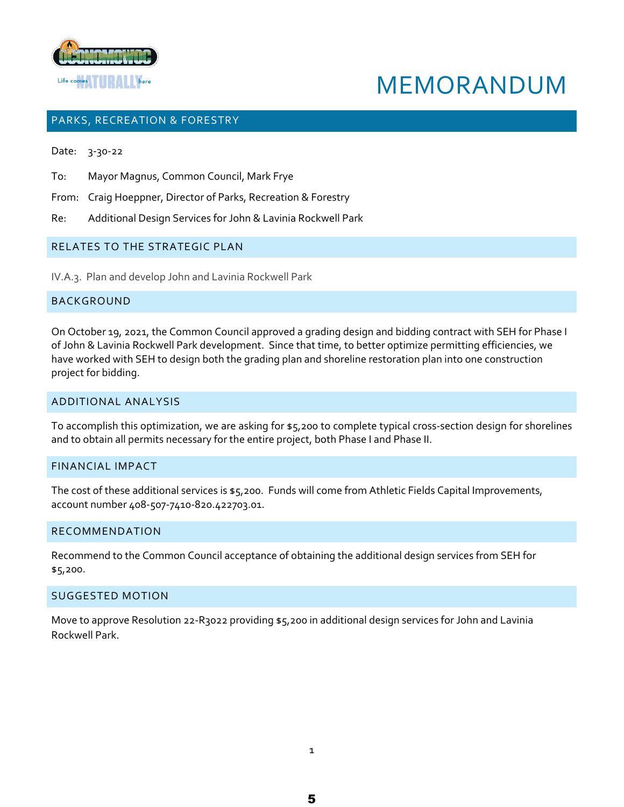



## PARKS, RECREATION & FORESTRY

Date: 3-30-22

To: Mayor Magnus, Common Council, Mark Frye

- From: Craig Hoeppner, Director of Parks, Recreation & Forestry
- Re: Additional Design Services for John & Lavinia Rockwell Park

### RELATES TO THE STRATEGIC PLAN

IV.A.3. Plan and develop John and Lavinia Rockwell Park

## BACKGROUND

On October 19, 2021, the Common Council approved a grading design and bidding contract with SEH for Phase I of John & Lavinia Rockwell Park development. Since that time, to better optimize permitting efficiencies, we have worked with SEH to design both the grading plan and shoreline restoration plan into one construction project for bidding.

#### ADDITIONAL ANALYSIS

To accomplish this optimization, we are asking for \$5,200 to complete typical cross-section design for shorelines and to obtain all permits necessary for the entire project, both Phase I and Phase II.

#### FINANCIAL IMPACT

The cost of these additional services is \$5,200. Funds will come from Athletic Fields Capital Improvements, account number 408-507-7410-820.422703.01.

#### RECOMMENDATION

Recommend to the Common Council acceptance of obtaining the additional design services from SEH for \$5,200.

#### SUGGESTED MOTION

Move to approve Resolution 22-R3022 providing \$5,200 in additional design services for John and Lavinia Rockwell Park.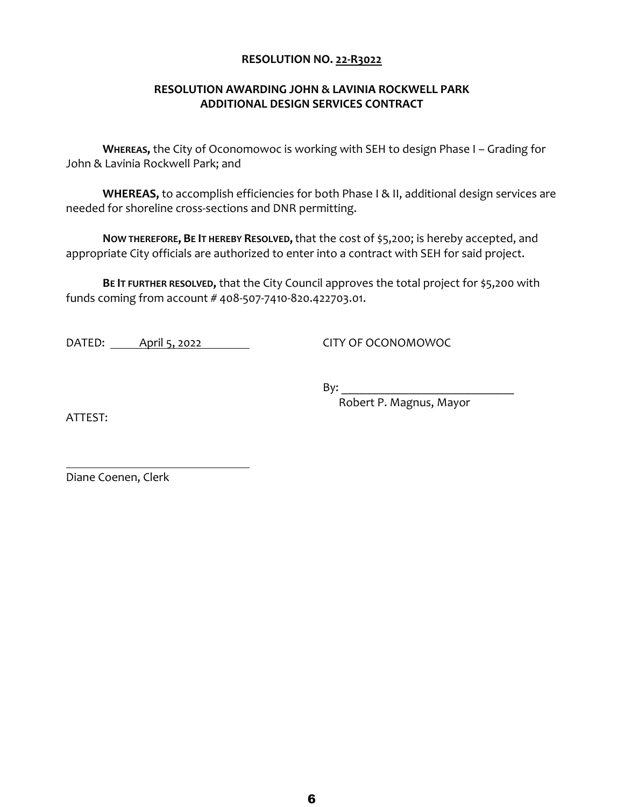## **RESOLUTION AWARDING JOHN & LAVINIA ROCKWELL PARK ADDITIONAL DESIGN SERVICES CONTRACT**

**WHEREAS,** the City of Oconomowoc is working with SEH to design Phase I – Grading for John & Lavinia Rockwell Park; and

**WHEREAS,** to accomplish efficiencies for both Phase I & II, additional design services are needed for shoreline cross-sections and DNR permitting.

**NOW THEREFORE, BE IT HEREBY RESOLVED,**that the cost of \$5,200; is hereby accepted, and appropriate City officials are authorized to enter into a contract with SEH for said project.

**BE IT FURTHER RESOLVED,** that the City Council approves the total project for \$5,200 with funds coming from account # 408-507-7410-820.422703.01.

DATED: April 5, 2022 CITY OF OCONOMOWOC

 $\mathsf{By:}$ 

Robert P. Magnus, Mayor

ATTEST:

Diane Coenen, Clerk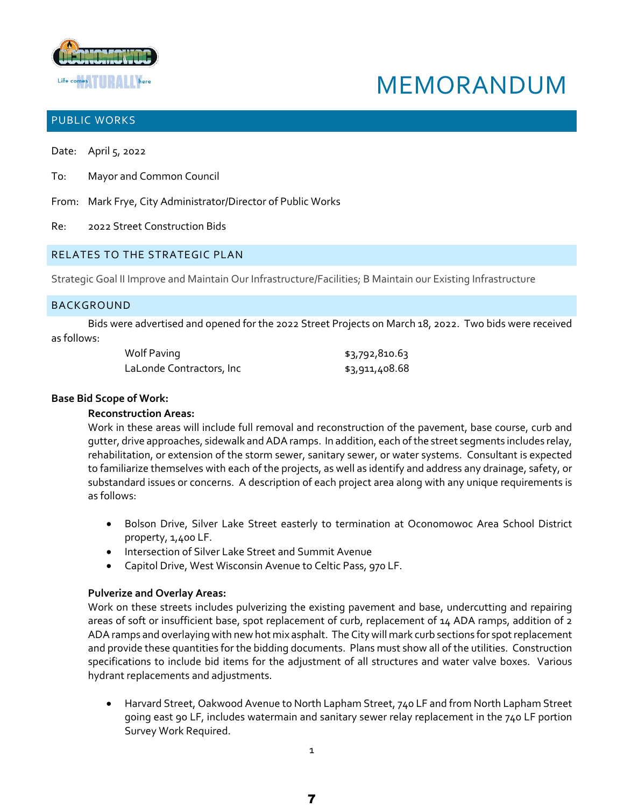

# MEMORANDUM

## PUBLIC WORKS

Date: April 5, 2022

- To: Mayor and Common Council
- From: Mark Frye, City Administrator/Director of Public Works
- Re: 2022 Street Construction Bids

### RELATES TO THE STRATEGIC PLAN

Strategic Goal II Improve and Maintain Our Infrastructure/Facilities; B Maintain our Existing Infrastructure

#### **BACKGROUND**

Bids were advertised and opened for the 2022 Street Projects on March 18, 2022. Two bids were received as follows:

| Wolf Paving              | \$3,792,810.63 |
|--------------------------|----------------|
| LaLonde Contractors, Inc | \$3,911,408.68 |

#### **Base Bid Scope of Work:**

#### **Reconstruction Areas:**

Work in these areas will include full removal and reconstruction of the pavement, base course, curb and gutter, drive approaches, sidewalk and ADA ramps. In addition, each of the street segments includes relay, rehabilitation, or extension of the storm sewer, sanitary sewer, or water systems. Consultant is expected to familiarize themselves with each of the projects, as well as identify and address any drainage, safety, or substandard issues or concerns. A description of each project area along with any unique requirements is as follows:

- Bolson Drive, Silver Lake Street easterly to termination at Oconomowoc Area School District property, 1,400 LF.
- Intersection of Silver Lake Street and Summit Avenue
- Capitol Drive, West Wisconsin Avenue to Celtic Pass, 970 LF.

#### **Pulverize and Overlay Areas:**

Work on these streets includes pulverizing the existing pavement and base, undercutting and repairing areas of soft or insufficient base, spot replacement of curb, replacement of 14 ADA ramps, addition of 2 ADA ramps and overlaying with new hot mix asphalt. The City will mark curb sections for spot replacement and provide these quantities for the bidding documents. Plans must show all of the utilities. Construction specifications to include bid items for the adjustment of all structures and water valve boxes. Various hydrant replacements and adjustments.

 Harvard Street, Oakwood Avenue to North Lapham Street, 740 LF and from North Lapham Street going east 90 LF, includes watermain and sanitary sewer relay replacement in the 740 LF portion Survey Work Required.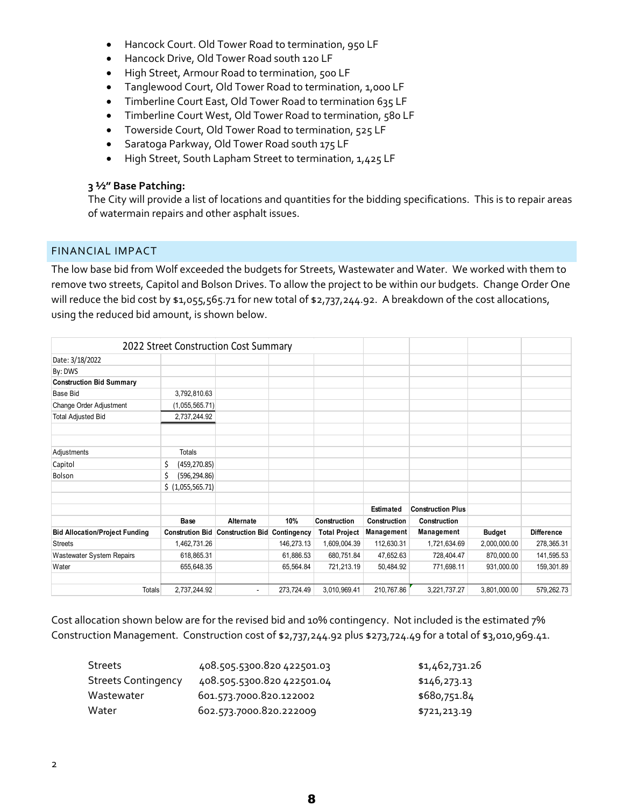- Hancock Court. Old Tower Road to termination, 950 LF
- Hancock Drive, Old Tower Road south 120 LF
- High Street, Armour Road to termination, 500 LF
- Tanglewood Court, Old Tower Road to termination, 1,000 LF
- Timberline Court East, Old Tower Road to termination 635 LF
- Timberline Court West, Old Tower Road to termination, 580 LF
- Towerside Court, Old Tower Road to termination, 525 LF
- Saratoga Parkway, Old Tower Road south 175 LF
- High Street, South Lapham Street to termination, 1,425 LF

## **3 ½" Base Patching:**

The City will provide a list of locations and quantities for the bidding specifications. This is to repair areas of watermain repairs and other asphalt issues.

## FINANCIAL IMPACT

The low base bid from Wolf exceeded the budgets for Streets, Wastewater and Water. We worked with them to remove two streets, Capitol and Bolson Drives. To allow the project to be within our budgets. Change Order One will reduce the bid cost by \$1,055,565.71 for new total of \$2,737,244.92. A breakdown of the cost allocations, using the reduced bid amount, is shown below.

|                                       | 2022 Street Construction Cost Summary |                         |             |                      |              |                          |               |                   |
|---------------------------------------|---------------------------------------|-------------------------|-------------|----------------------|--------------|--------------------------|---------------|-------------------|
| Date: 3/18/2022                       |                                       |                         |             |                      |              |                          |               |                   |
| By: DWS                               |                                       |                         |             |                      |              |                          |               |                   |
| <b>Construction Bid Summary</b>       |                                       |                         |             |                      |              |                          |               |                   |
| <b>Base Bid</b>                       | 3,792,810.63                          |                         |             |                      |              |                          |               |                   |
| Change Order Adjustment               | (1,055,565.71)                        |                         |             |                      |              |                          |               |                   |
| <b>Total Adjusted Bid</b>             | 2,737,244.92                          |                         |             |                      |              |                          |               |                   |
| Adjustments                           | <b>Totals</b>                         |                         |             |                      |              |                          |               |                   |
| Capitol                               | \$<br>(459, 270.85)                   |                         |             |                      |              |                          |               |                   |
| Bolson                                | \$<br>(596, 294.86)                   |                         |             |                      |              |                          |               |                   |
|                                       | \$ (1,055,565.71)                     |                         |             |                      |              |                          |               |                   |
|                                       |                                       |                         |             |                      | Estimated    | <b>Construction Plus</b> |               |                   |
|                                       | Base                                  | Alternate               | 10%         | Construction         | Construction | Construction             |               |                   |
| <b>Bid Allocation/Project Funding</b> | <b>Constrution Bid</b>                | <b>Construction Bid</b> | Contingency | <b>Total Project</b> | Management   | Management               | <b>Budget</b> | <b>Difference</b> |
| <b>Streets</b>                        | 1,462,731.26                          |                         | 146,273.13  | 1,609,004.39         | 112,630.31   | 1,721,634.69             | 2,000,000.00  | 278,365.31        |
| Wastewater System Repairs             | 618,865.31                            |                         | 61,886.53   | 680,751.84           | 47,652.63    | 728,404.47               | 870,000.00    | 141,595.53        |
| Water                                 | 655,648.35                            |                         | 65,564.84   | 721,213.19           | 50,484.92    | 771,698.11               | 931,000.00    | 159,301.89        |
| <b>Totals</b>                         | 2,737,244.92                          |                         | 273,724.49  | 3,010,969.41         | 210,767.86   | 3,221,737.27             | 3,801,000.00  | 579,262.73        |

Cost allocation shown below are for the revised bid and 10% contingency. Not included is the estimated 7% Construction Management. Construction cost of \$2,737,244.92 plus \$273,724.49 for a total of \$3,010,969.41.

| <b>Streets</b>             | 408.505.5300.820 422501.03 | \$1,462,731.26 |
|----------------------------|----------------------------|----------------|
| <b>Streets Contingency</b> | 408.505.5300.820 422501.04 | \$146,273.13   |
| Wastewater                 | 601.573.7000.820.122002    | \$680,751.84   |
| Water                      | 602.573.7000.820.222009    | \$721,213.19   |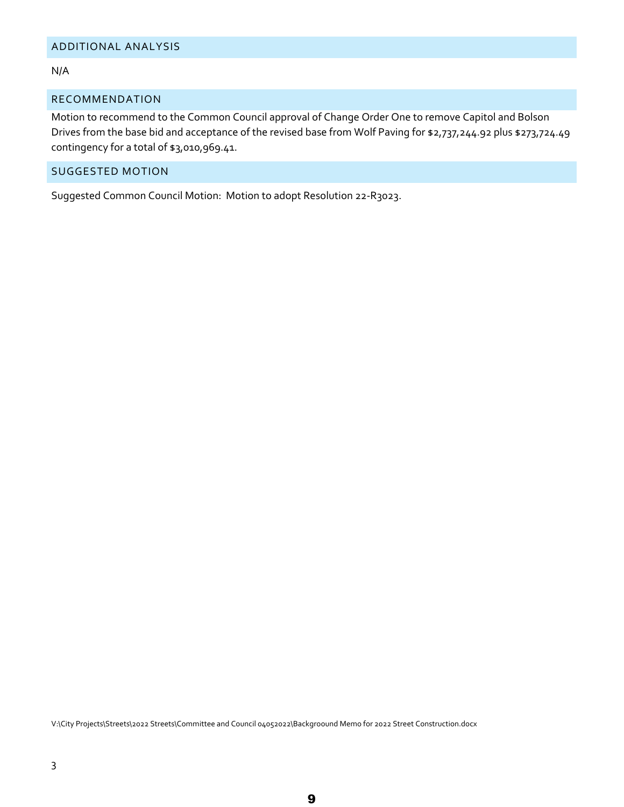#### N/A

#### RECOMMENDATION

Motion to recommend to the Common Council approval of Change Order One to remove Capitol and Bolson Drives from the base bid and acceptance of the revised base from Wolf Paving for \$2,737,244.92 plus \$273,724.49 contingency for a total of \$3,010,969.41.

### SUGGESTED MOTION

Suggested Common Council Motion: Motion to adopt Resolution 22-R3023.

V:\City Projects\Streets\2022 Streets\Committee and Council 04052022\Backgroound Memo for 2022 Street Construction.docx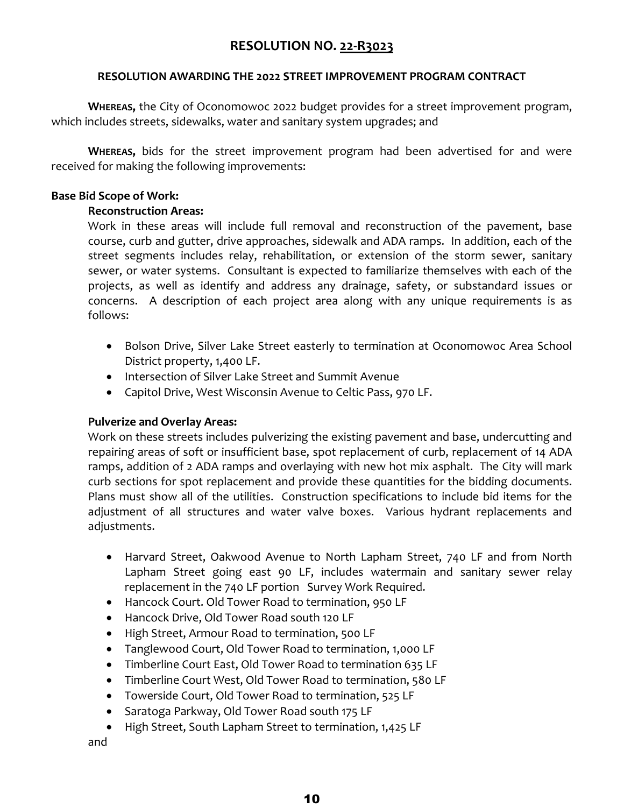## **RESOLUTION AWARDING THE 2022 STREET IMPROVEMENT PROGRAM CONTRACT**

**WHEREAS,** the City of Oconomowoc 2022 budget provides for a street improvement program, which includes streets, sidewalks, water and sanitary system upgrades; and

**WHEREAS,** bids for the street improvement program had been advertised for and were received for making the following improvements:

## **Base Bid Scope of Work:**

## **Reconstruction Areas:**

Work in these areas will include full removal and reconstruction of the pavement, base course, curb and gutter, drive approaches, sidewalk and ADA ramps. In addition, each of the street segments includes relay, rehabilitation, or extension of the storm sewer, sanitary sewer, or water systems. Consultant is expected to familiarize themselves with each of the projects, as well as identify and address any drainage, safety, or substandard issues or concerns. A description of each project area along with any unique requirements is as follows:

- Bolson Drive, Silver Lake Street easterly to termination at Oconomowoc Area School District property, 1,400 LF.
- Intersection of Silver Lake Street and Summit Avenue
- Capitol Drive, West Wisconsin Avenue to Celtic Pass, 970 LF.

## **Pulverize and Overlay Areas:**

Work on these streets includes pulverizing the existing pavement and base, undercutting and repairing areas of soft or insufficient base, spot replacement of curb, replacement of 14 ADA ramps, addition of 2 ADA ramps and overlaying with new hot mix asphalt. The City will mark curb sections for spot replacement and provide these quantities for the bidding documents. Plans must show all of the utilities. Construction specifications to include bid items for the adjustment of all structures and water valve boxes. Various hydrant replacements and adjustments.

- Harvard Street, Oakwood Avenue to North Lapham Street, 740 LF and from North Lapham Street going east 90 LF, includes watermain and sanitary sewer relay replacement in the 740 LF portion Survey Work Required.
- Hancock Court. Old Tower Road to termination, 950 LF
- Hancock Drive, Old Tower Road south 120 LF
- High Street, Armour Road to termination, 500 LF
- Tanglewood Court, Old Tower Road to termination, 1,000 LF
- Timberline Court East, Old Tower Road to termination 635 LF
- Timberline Court West, Old Tower Road to termination, 580 LF
- Towerside Court, Old Tower Road to termination, 525 LF
- Saratoga Parkway, Old Tower Road south 175 LF
- High Street, South Lapham Street to termination, 1,425 LF

and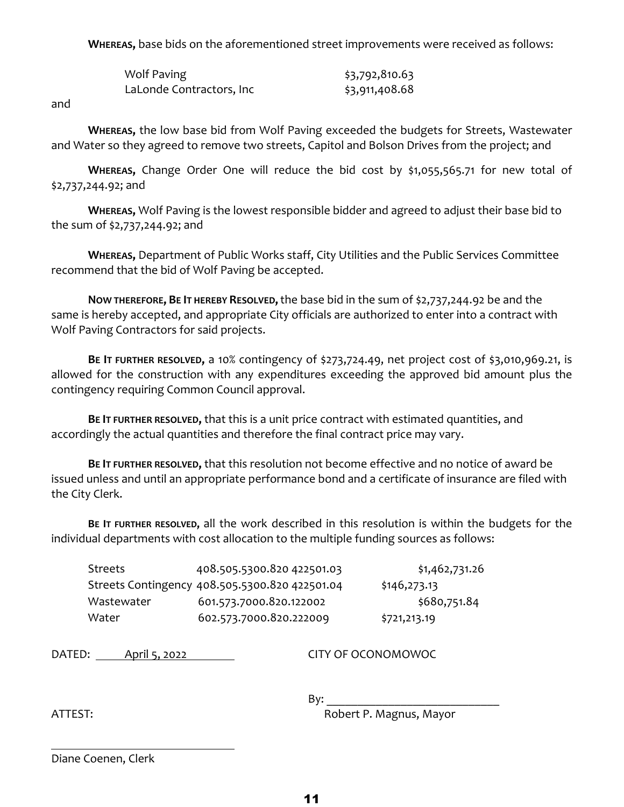**WHEREAS,** base bids on the aforementioned street improvements were received as follows:

| Wolf Paving              | \$3,792,810.63 |
|--------------------------|----------------|
| LaLonde Contractors, Inc | \$3,911,408.68 |

and

**WHEREAS,** the low base bid from Wolf Paving exceeded the budgets for Streets, Wastewater and Water so they agreed to remove two streets, Capitol and Bolson Drives from the project; and

**WHEREAS,** Change Order One will reduce the bid cost by \$1,055,565.71 for new total of \$2,737,244.92; and

**WHEREAS,** Wolf Paving is the lowest responsible bidder and agreed to adjust their base bid to the sum of \$2,737,244.92; and

**WHEREAS,** Department of Public Works staff, City Utilities and the Public Services Committee recommend that the bid of Wolf Paving be accepted.

**NOW THEREFORE, BE IT HEREBY RESOLVED,**the base bid in the sum of \$2,737,244.92 be and the same is hereby accepted, and appropriate City officials are authorized to enter into a contract with Wolf Paving Contractors for said projects.

**BE IT FURTHER RESOLVED,** a 10% contingency of \$273,724.49, net project cost of \$3,010,969.21, is allowed for the construction with any expenditures exceeding the approved bid amount plus the contingency requiring Common Council approval.

**BE IT FURTHER RESOLVED,** that this is a unit price contract with estimated quantities, and accordingly the actual quantities and therefore the final contract price may vary.

**BE IT FURTHER RESOLVED,** that this resolution not become effective and no notice of award be issued unless and until an appropriate performance bond and a certificate of insurance are filed with the City Clerk.

**BE IT FURTHER RESOLVED,** all the work described in this resolution is within the budgets for the individual departments with cost allocation to the multiple funding sources as follows:

| <b>Streets</b> | 408.505.5300.820 422501.03                     | \$1,462,731.26 |
|----------------|------------------------------------------------|----------------|
|                | Streets Contingency 408.505.5300.820 422501.04 | \$146,273.13   |
| Wastewater     | 601.573.7000.820.122002                        | \$680,751.84   |
| Water          | 602.573.7000.820.222009                        | \$721,213.19   |

DATED: April 5, 2022 CITY OF OCONOMOWOC

By:

ATTEST: AND AND ANN AND Robert P. Magnus, Mayor

Diane Coenen, Clerk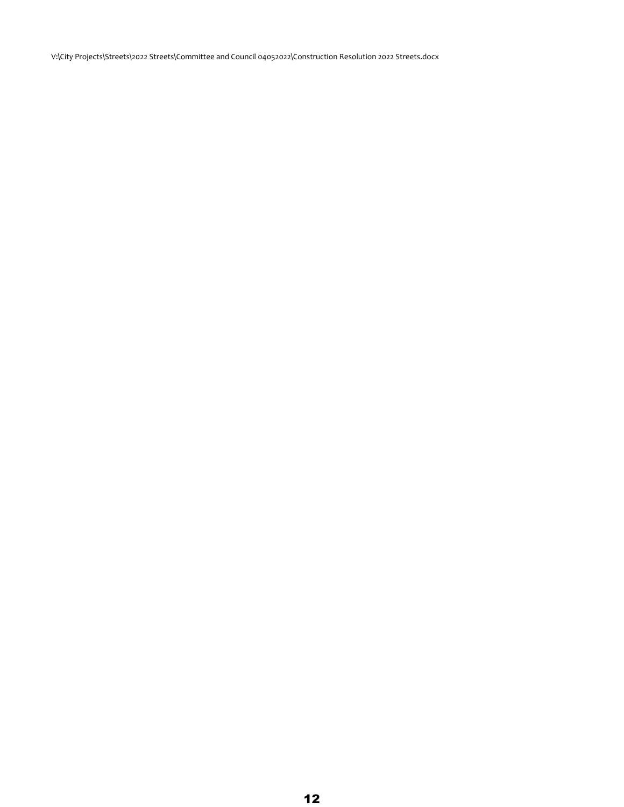V:\City Projects\Streets\2022 Streets\Committee and Council 04052022\Construction Resolution 2022 Streets.docx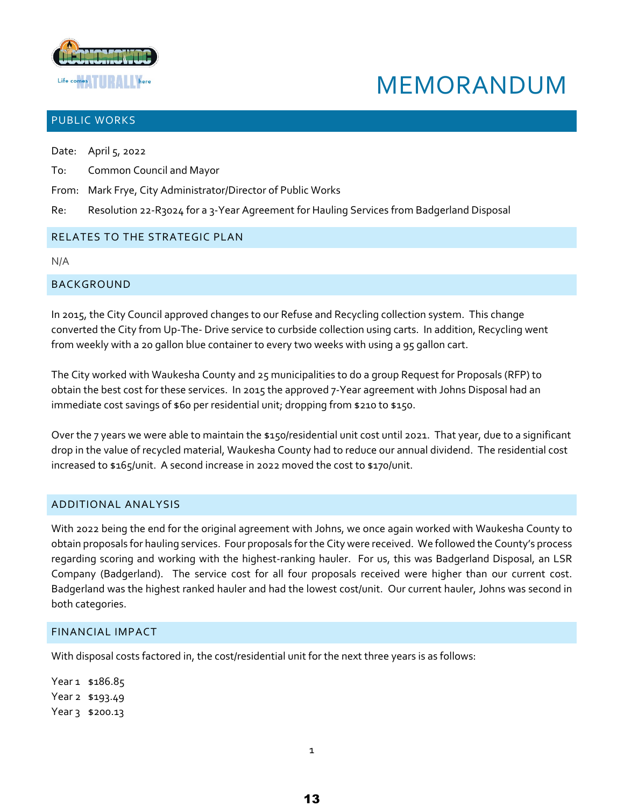

# MEMORANDUM

## PUBLIC WORKS

Date: April 5, 2022

- To: Common Council and Mayor
- From: Mark Frye, City Administrator/Director of Public Works
- Re: Resolution 22-R3024 for a 3-Year Agreement for Hauling Services from Badgerland Disposal

## RELATES TO THE STRATEGIC PLAN

N/A

## BACKGROUND

In 2015, the City Council approved changes to our Refuse and Recycling collection system. This change converted the City from Up-The- Drive service to curbside collection using carts. In addition, Recycling went from weekly with a 20 gallon blue container to every two weeks with using a 95 gallon cart.

The City worked with Waukesha County and 25 municipalities to do a group Request for Proposals (RFP) to obtain the best cost for these services. In 2015 the approved 7-Year agreement with Johns Disposal had an immediate cost savings of \$60 per residential unit; dropping from \$210 to \$150.

Over the 7 years we were able to maintain the \$150/residential unit cost until 2021. That year, due to a significant drop in the value of recycled material, Waukesha County had to reduce our annual dividend. The residential cost increased to \$165/unit. A second increase in 2022 moved the cost to \$170/unit.

## ADDITIONAL ANALYSIS

With 2022 being the end for the original agreement with Johns, we once again worked with Waukesha County to obtain proposals for hauling services. Four proposals for the City were received. We followed the County's process regarding scoring and working with the highest-ranking hauler. For us, this was Badgerland Disposal, an LSR Company (Badgerland). The service cost for all four proposals received were higher than our current cost. Badgerland was the highest ranked hauler and had the lowest cost/unit. Our current hauler, Johns was second in both categories.

## FINANCIAL IMPACT

With disposal costs factored in, the cost/residential unit for the next three years is as follows:

Year1 \$186.85 Year 2 \$193.49 Year 3 \$200.13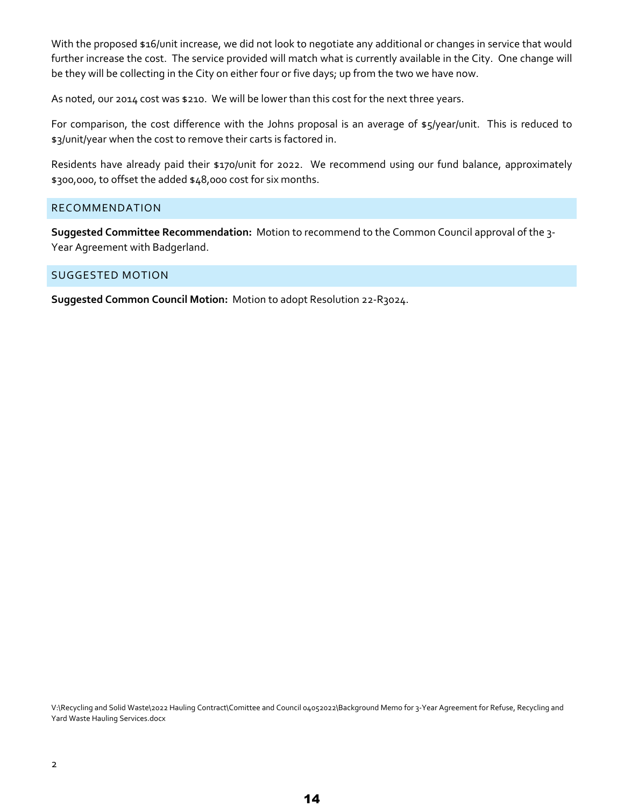With the proposed \$16/unit increase, we did not look to negotiate any additional or changes in service that would further increase the cost. The service provided will match what is currently available in the City. One change will be they will be collecting in the City on either four or five days; up from the two we have now.

As noted, our 2014 cost was \$210. We will be lower than this cost for the next three years.

For comparison, the cost difference with the Johns proposal is an average of \$5/year/unit. This is reduced to \$3/unit/year when the cost to remove their carts is factored in.

Residents have already paid their \$170/unit for 2022. We recommend using our fund balance, approximately \$300,000, to offset the added \$48,000 cost for six months.

## RECOMMENDATION

**Suggested Committee Recommendation:** Motion to recommend to the Common Council approval of the 3- Year Agreement with Badgerland.

## SUGGESTED MOTION

**Suggested Common Council Motion:** Motion to adopt Resolution 22-R3024.

V:\Recycling and Solid Waste\2022 Hauling Contract\Comittee and Council 04052022\Background Memo for 3-Year Agreement for Refuse, Recycling and Yard Waste Hauling Services.docx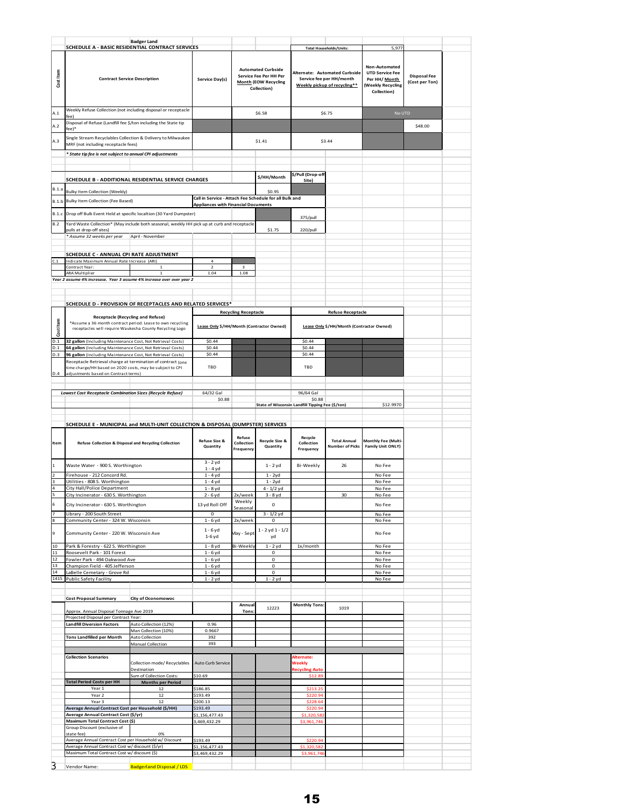|                |                                                                                                                                                                  | <b>Badger Land</b>                         |                                                                                                                     |                             |                                                                                           |                                                  |                                                                                              |                                          |         |  |
|----------------|------------------------------------------------------------------------------------------------------------------------------------------------------------------|--------------------------------------------|---------------------------------------------------------------------------------------------------------------------|-----------------------------|-------------------------------------------------------------------------------------------|--------------------------------------------------|----------------------------------------------------------------------------------------------|------------------------------------------|---------|--|
|                | SCHEDULE A - BASIC RESIDENTIAL CONTRACT SERVICES                                                                                                                 |                                            |                                                                                                                     |                             |                                                                                           | <b>Total Households/Units:</b>                   |                                                                                              | 5,977                                    |         |  |
| Cost Item      | <b>Contract Service Description</b>                                                                                                                              |                                            | <b>Automated Curbside</b><br>Service Fee Per HH Per<br>Service Day(s)<br><b>Month (EOW Recycling</b><br>Collection) |                             | Alternate: Automated Curbside<br>Service fee per HH/month<br>Weekly pickup of recycling** |                                                  | Non-Automated<br><b>UTD Service Fee</b><br>Per HH/ Month<br>(Weekly Recycling<br>Collection) | <b>Disposal Fee</b><br>(Cost per Ton)    |         |  |
| A.1            | Weekly Refuse Collection (not including disposal or receptacle                                                                                                   |                                            |                                                                                                                     |                             | \$6.58                                                                                    |                                                  | \$6.75                                                                                       | No UTD                                   |         |  |
|                | fee)<br>Disposal of Refuse (Landfill fee \$/ton including the State tip                                                                                          |                                            |                                                                                                                     |                             |                                                                                           |                                                  |                                                                                              |                                          |         |  |
| A.2            | fee)*                                                                                                                                                            |                                            |                                                                                                                     |                             |                                                                                           |                                                  |                                                                                              |                                          | \$48.00 |  |
| A.3            | Single Stream Recyclables Collection & Delivery to Milwaukee<br>MRF (not including receptacle fees)                                                              |                                            |                                                                                                                     | \$1.41                      |                                                                                           | \$3.44                                           |                                                                                              |                                          |         |  |
|                | * State tip fee is not subject to annual CPI adjustments                                                                                                         |                                            |                                                                                                                     |                             |                                                                                           |                                                  |                                                                                              |                                          |         |  |
|                |                                                                                                                                                                  |                                            |                                                                                                                     |                             |                                                                                           |                                                  |                                                                                              |                                          |         |  |
|                | SCHEDULE B - ADDITIONAL RESIDENTIAL SERVICE CHARGES                                                                                                              |                                            |                                                                                                                     |                             | \$/HH/Month                                                                               | \$/Pull (Drop-off                                |                                                                                              |                                          |         |  |
| B.1.a          |                                                                                                                                                                  |                                            |                                                                                                                     |                             |                                                                                           | Site)                                            |                                                                                              |                                          |         |  |
| B.1.b          | <b>Bulky Item Collection (Weekly)</b><br>Bulky Item Collection (Fee Based)                                                                                       |                                            | Call in Service - Attach Fee Schedule for all Bulk and                                                              |                             | \$0.95                                                                                    |                                                  |                                                                                              |                                          |         |  |
|                |                                                                                                                                                                  |                                            | <b>Appliances with Financial Documents</b>                                                                          |                             |                                                                                           |                                                  |                                                                                              |                                          |         |  |
| B.1.c<br>B.2   | Drop off Bulk Event Held at specific localtion (30 Yard Dumpster)<br>Yard Waste Collection* (May include both seasonal, weekly HH pick up at curb and receptacle |                                            |                                                                                                                     |                             |                                                                                           | 375/pull                                         |                                                                                              |                                          |         |  |
|                | pulls at drop-off sites)                                                                                                                                         |                                            |                                                                                                                     |                             | \$1.75                                                                                    | 220/pull                                         |                                                                                              |                                          |         |  |
|                | * Assume 32 weeks per year                                                                                                                                       | April - November                           |                                                                                                                     |                             |                                                                                           |                                                  |                                                                                              |                                          |         |  |
|                | SCHEDULE C - ANNUAL CPI RATE ADJUSTMENT                                                                                                                          |                                            |                                                                                                                     |                             |                                                                                           |                                                  |                                                                                              |                                          |         |  |
| C.1            | Indicate Maximum Annual Rate Increase (ARI)<br>Contract Year:                                                                                                    |                                            | $\it 4$<br>$\overline{2}$                                                                                           | 3                           |                                                                                           |                                                  |                                                                                              |                                          |         |  |
|                | ARA Multiplier                                                                                                                                                   |                                            | 1.04                                                                                                                | 1.08                        |                                                                                           |                                                  |                                                                                              |                                          |         |  |
|                | Year 2 assume 4% incresase. Year 3 assume 4% increase over over year 2                                                                                           |                                            |                                                                                                                     |                             |                                                                                           |                                                  |                                                                                              |                                          |         |  |
|                |                                                                                                                                                                  |                                            |                                                                                                                     |                             |                                                                                           |                                                  |                                                                                              |                                          |         |  |
|                | SCHEDULE D - PROVISION OF RECEPTACLES AND RELATED SERVICES*                                                                                                      |                                            |                                                                                                                     |                             |                                                                                           |                                                  |                                                                                              |                                          |         |  |
|                | <b>Receptacle (Recycling and Refuse)</b>                                                                                                                         |                                            |                                                                                                                     | <b>Recycling Receptacle</b> |                                                                                           |                                                  | <b>Refuse Receptacle</b>                                                                     |                                          |         |  |
| Cost Item      | *Assume a 36 month contract period. Lease to own recycling<br>receptacles will require Waukesha County Recycling Logo                                            |                                            | Lease Only \$/HH/Month (Contractor Owned)                                                                           |                             |                                                                                           |                                                  | Lease Only \$/HH/Month (Contractor Owned)                                                    |                                          |         |  |
|                |                                                                                                                                                                  |                                            | \$0.44                                                                                                              |                             |                                                                                           | \$0.44                                           |                                                                                              |                                          |         |  |
| D.1<br>D.1     | 32 gallon (Including Maintenance Cost, Not Retrieval Costs)<br>64 gallon (Including Maintenance Cost, Not Retrieval Costs)                                       |                                            | \$0.44                                                                                                              |                             |                                                                                           | \$0.44                                           |                                                                                              |                                          |         |  |
| D.3            | 96 gallon (Including Maintenance Cost, Not Retrieval Costs)<br>Receptacle Retrieval charge at termination of contract (one                                       |                                            | \$0.44                                                                                                              |                             |                                                                                           | \$0.44                                           |                                                                                              |                                          |         |  |
|                | time charge/HH based on 2020 costs, may be subject to CPI                                                                                                        |                                            | TBD                                                                                                                 |                             |                                                                                           | TBD                                              |                                                                                              |                                          |         |  |
| D.4            | adjustments based on Contract terms)                                                                                                                             |                                            |                                                                                                                     |                             |                                                                                           |                                                  |                                                                                              |                                          |         |  |
|                | <b>Lowest Cost Receptacle Combination Sizes (Recycle Refuse)</b>                                                                                                 |                                            | 64/32 Gal                                                                                                           |                             |                                                                                           | 96/64 Gal                                        |                                                                                              |                                          |         |  |
|                |                                                                                                                                                                  |                                            | \$0.88                                                                                                              |                             |                                                                                           | \$0.88                                           |                                                                                              |                                          |         |  |
|                |                                                                                                                                                                  |                                            |                                                                                                                     |                             |                                                                                           | State of Wisconsin Landfill Tipping Fee (\$/ton) |                                                                                              | \$12.9970                                |         |  |
|                | SCHEDULE E - MUNICIPAL and MULTI-UNIT COLLECTION & DISPOSAL (DUMPSTER) SERVICES                                                                                  |                                            |                                                                                                                     |                             |                                                                                           |                                                  |                                                                                              |                                          |         |  |
|                |                                                                                                                                                                  |                                            |                                                                                                                     |                             |                                                                                           |                                                  |                                                                                              |                                          |         |  |
| Item           | Refuse Collection & Disposal and Recycling Collection                                                                                                            |                                            | <b>Refuse Size &amp;</b><br>Quantity                                                                                | <b>Refuse</b><br>Collection | <b>Recycle Size &amp;</b><br>Quantity                                                     | Recycle<br>Collection                            | <b>Total Annual</b><br><b>Number of Picks</b>                                                | Monthly Fee (Multi-<br>Family Unit ONLY) |         |  |
|                |                                                                                                                                                                  |                                            |                                                                                                                     | Frequency                   |                                                                                           | Frequency                                        |                                                                                              |                                          |         |  |
| $\mathbf{1}$   | Waste Water - 900 S. Worthington                                                                                                                                 |                                            | 3 - 2 yd<br>$1 - 4$ yd                                                                                              |                             | $1 - 2$ yd                                                                                | Bi-Weekly                                        | 26                                                                                           | No Fee                                   |         |  |
|                | Firehouse - 212 Concord Rd.                                                                                                                                      |                                            | $1 - 4$ yd                                                                                                          |                             | $1 - 2yd$                                                                                 |                                                  |                                                                                              | No Fee                                   |         |  |
| $\overline{a}$ | Utilities - 808 S. Worthington<br>City Hall/Police Department                                                                                                    |                                            | $1 - 4$ yd<br>$1 - 8$ yd                                                                                            |                             | $1 - 2yd$<br>$4 - 1/2$ yd                                                                 |                                                  |                                                                                              | No Fee<br>No Fee                         |         |  |
|                | City Incinerator - 630 S. Worthington                                                                                                                            |                                            | $2 - 6$ yd                                                                                                          | 2x/week                     | $3 - 8$ yd                                                                                |                                                  | 30                                                                                           | No Fee                                   |         |  |
| 6              | City Incinerator - 630 S. Worthington                                                                                                                            |                                            | 13 yd Roll Off                                                                                                      | Weekly<br>Seasonal          | $\mathbf 0$                                                                               |                                                  |                                                                                              | No Fee                                   |         |  |
| 7<br>8         | Library - 200 South Street<br>Community Center - 324 W. Wisconsin                                                                                                |                                            | 0<br>$1 - 6$ yd                                                                                                     | 2x/week                     | $3 - 1/2$ yd<br>$\mathbf 0$                                                               |                                                  |                                                                                              | No Fee<br>No Fee                         |         |  |
|                |                                                                                                                                                                  |                                            | $1 - 6$ yd                                                                                                          |                             | $1 - 2$ yd $1 - 1/2$                                                                      |                                                  |                                                                                              |                                          |         |  |
| 9              | Community Center - 220 W. Wisconsin Ave                                                                                                                          |                                            | $1-6$ yd                                                                                                            | May - Sept                  | yd                                                                                        |                                                  |                                                                                              | No Fee                                   |         |  |
| $10\,$<br>11   | Park & Forestry - 622 S. Worthington<br>Roosevelt Park - 101 Forest                                                                                              |                                            | $1 - 8$ yd<br>$1 - 6$ yd                                                                                            | Bi-Weekly                   | $1 - 2$ yd<br>$\mathsf{o}\,$                                                              | 1x/month                                         |                                                                                              | No Fee<br>No Fee                         |         |  |
| 12             | Fowler Park - 494 Oakwood Ave                                                                                                                                    |                                            | $1 - 6$ yd                                                                                                          |                             | $\mathsf{o}\,$                                                                            |                                                  |                                                                                              | No Fee                                   |         |  |
| 13<br>14       | Champion Field - 405 Jefferson<br>LaBelle Cemetary - Grove Rd                                                                                                    |                                            | $1 - 6$ yd<br>$1 - 6$ yd                                                                                            |                             | 0<br>0                                                                                    |                                                  |                                                                                              | No Fee<br>No Fee                         |         |  |
|                | 1415 Public Safety Facility                                                                                                                                      |                                            | $1 - 2$ yd                                                                                                          |                             | $1 - 2$ yd                                                                                |                                                  |                                                                                              | No Fee                                   |         |  |
|                |                                                                                                                                                                  |                                            |                                                                                                                     |                             |                                                                                           |                                                  |                                                                                              |                                          |         |  |
|                | <b>Cost Proposal Summary</b>                                                                                                                                     | <b>City of Oconomowoc</b>                  |                                                                                                                     | Annual                      |                                                                                           | <b>Monthly Tons:</b>                             |                                                                                              |                                          |         |  |
|                | Approx. Annual Disposal Tonnage Ave 2019<br>Projected Disposal per Contract Year:                                                                                |                                            |                                                                                                                     | Tons                        | 12223                                                                                     |                                                  | 1019                                                                                         |                                          |         |  |
|                | <b>Landfill Diversion Factors</b>                                                                                                                                | Auto Collection (12%)                      | 0.96                                                                                                                |                             |                                                                                           |                                                  |                                                                                              |                                          |         |  |
|                | <b>Tons Landfilled per Month</b>                                                                                                                                 | Man Collection (10%)<br>Auto Collection    | 0.9667<br>392                                                                                                       |                             |                                                                                           |                                                  |                                                                                              |                                          |         |  |
|                |                                                                                                                                                                  | <b>Manual Collection</b>                   | 393                                                                                                                 |                             |                                                                                           |                                                  |                                                                                              |                                          |         |  |
|                | <b>Collection Scenarios</b>                                                                                                                                      |                                            |                                                                                                                     |                             |                                                                                           | Alternate:                                       |                                                                                              |                                          |         |  |
|                |                                                                                                                                                                  | Collection mode/Recyclables<br>Destination | Auto Curb Service                                                                                                   |                             |                                                                                           | Weekly<br><b>Recycling Auto</b>                  |                                                                                              |                                          |         |  |
|                | <b>Total Period Costs per HH</b>                                                                                                                                 | Sum of Collection Costs:                   | \$10.69                                                                                                             |                             |                                                                                           | \$12.89                                          |                                                                                              |                                          |         |  |
|                | Year 1                                                                                                                                                           | <b>Months per Period</b><br>12             | \$186.85                                                                                                            |                             |                                                                                           | \$213.25                                         |                                                                                              |                                          |         |  |
|                | Year 2<br>Year 3                                                                                                                                                 | 12<br>12                                   | \$193.49<br>\$200.13                                                                                                |                             |                                                                                           | \$220.94<br>\$228.64                             |                                                                                              |                                          |         |  |
|                | Average Annual Contract Cost per Household (\$/HH)                                                                                                               |                                            | \$193.49                                                                                                            |                             |                                                                                           | \$220.94                                         |                                                                                              |                                          |         |  |
|                | Average Annual Contract Cost (\$/yr)<br>Maximum Total Contract Cost (\$)                                                                                         |                                            | \$1,156,477.43<br>3,469,432.29                                                                                      |                             |                                                                                           | \$1,320,582<br>\$3,961,746                       |                                                                                              |                                          |         |  |
|                | Group Discount (exclusive of<br>state fee)                                                                                                                       | 0%                                         |                                                                                                                     |                             |                                                                                           |                                                  |                                                                                              |                                          |         |  |
|                | Average Annual Contract Cost per Household w/ Discount                                                                                                           |                                            | \$193.49                                                                                                            |                             |                                                                                           | \$220.94                                         |                                                                                              |                                          |         |  |
|                | Average Annual Contract Cost w/discount (\$/yr)<br>Maximum Total Contract Cost w/ discount (\$)                                                                  |                                            | \$1,156,477.43<br>\$3,469,432.29                                                                                    |                             |                                                                                           | \$1,320,582<br>\$3,961,746                       |                                                                                              |                                          |         |  |
| 3              | Vendor Name:                                                                                                                                                     | <b>Badgerland Disposal / LDS</b>           |                                                                                                                     |                             |                                                                                           |                                                  |                                                                                              |                                          |         |  |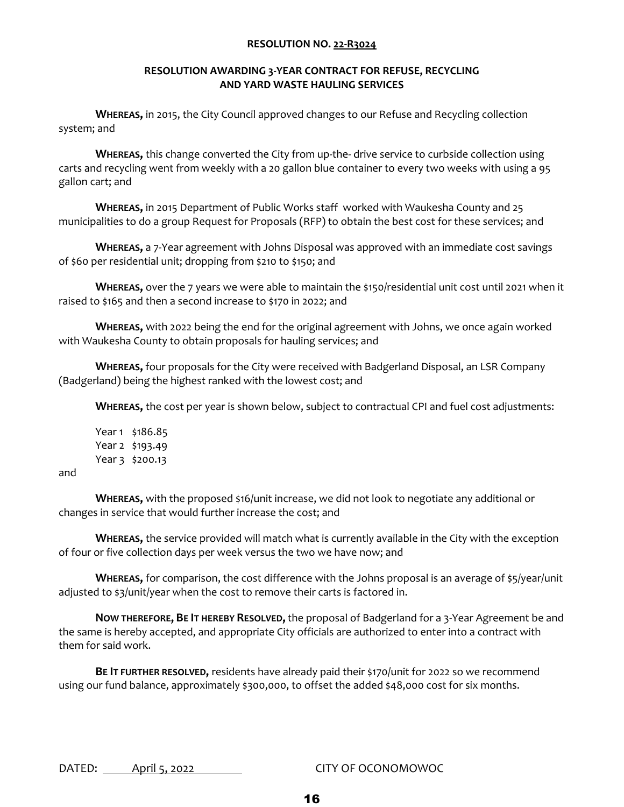#### **RESOLUTION AWARDING 3-YEAR CONTRACT FOR REFUSE, RECYCLING AND YARD WASTE HAULING SERVICES**

**WHEREAS,** in 2015, the City Council approved changes to our Refuse and Recycling collection system; and

**WHEREAS,** this change converted the City from up-the- drive service to curbside collection using carts and recycling went from weekly with a 20 gallon blue container to every two weeks with using a 95 gallon cart; and

**WHEREAS,** in 2015 Department of Public Works staff worked with Waukesha County and 25 municipalities to do a group Request for Proposals (RFP) to obtain the best cost for these services; and

**WHEREAS,** a 7-Year agreement with Johns Disposal was approved with an immediate cost savings of \$60 per residential unit; dropping from \$210 to \$150; and

**WHEREAS,** over the 7 years we were able to maintain the \$150/residential unit cost until 2021 when it raised to \$165 and then a second increase to \$170 in 2022; and

**WHEREAS,** with 2022 being the end for the original agreement with Johns, we once again worked with Waukesha County to obtain proposals for hauling services; and

**WHEREAS,** four proposals for the City were received with Badgerland Disposal, an LSR Company (Badgerland) being the highest ranked with the lowest cost; and

**WHEREAS,** the cost per year is shown below, subject to contractual CPI and fuel cost adjustments:

Year 1 \$186.85 Year 2 \$193.49 Year 3 \$200.13

and

**WHEREAS,** with the proposed \$16/unit increase, we did not look to negotiate any additional or changes in service that would further increase the cost; and

**WHEREAS,** the service provided will match what is currently available in the City with the exception of four or five collection days per week versus the two we have now; and

**WHEREAS,** for comparison, the cost difference with the Johns proposal is an average of \$5/year/unit adjusted to \$3/unit/year when the cost to remove their carts is factored in.

**NOW THEREFORE, BE IT HEREBY RESOLVED,** the proposal of Badgerland for a 3-Year Agreement be and the same is hereby accepted, and appropriate City officials are authorized to enter into a contract with them for said work.

**BE IT FURTHER RESOLVED,** residents have already paid their \$170/unit for 2022 so we recommend using our fund balance, approximately \$300,000, to offset the added \$48,000 cost for six months.

DATED: April 5, 2022 CITY OF OCONOMOWOC